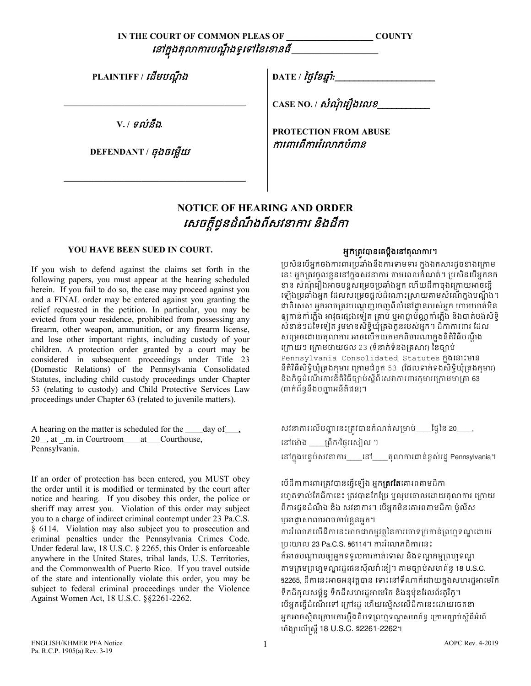| IN THE COURT OF COMMON PLEAS OF | <b>COUNTY</b> |
|---------------------------------|---------------|
| នៅក្នុងតុលាការបណ្តឹងទូទៅនៃខោនធី |               |

**PLAINTIFF /** េដមបណ�ឹ <sup>ង</sup>

**V. /** ទល់នឹង*.* 

 **\_\_\_\_\_\_\_\_\_\_\_\_\_\_\_\_\_\_\_\_\_\_\_\_\_\_\_\_\_\_\_\_\_\_\_\_\_\_\_\_\_\_**

**DEFENDANT /** ចុងចេម�យ

 **\_\_\_\_\_\_\_\_\_\_\_\_\_\_\_\_\_\_\_\_\_\_\_\_\_\_\_\_\_\_\_\_\_\_\_\_\_\_\_\_\_\_**

DATE / *ថ្ងៃខែឆ្នាំ*:\_

**CASE NO. /** សំណុំ េរឿងេលខ\_\_\_\_\_\_\_\_\_\_\_

**PROTECTION FROM ABUSE** ករពរពីកររំេលភបំពន

## **NOTICE OF HEARING AND ORDER**  សេចក្តីជូនដំណឹងពីសវនាការ និងដីកា

## **YOU HAVE BEEN SUED IN COURT.**

If you wish to defend against the claims set forth in the following papers, you must appear at the hearing scheduled herein. If you fail to do so, the case may proceed against you and a FINAL order may be entered against you granting the relief requested in the petition. In particular, you may be evicted from your residence, prohibited from possessing any firearm, other weapon, ammunition, or any firearm license, and lose other important rights, including custody of your children. A protection order granted by a court may be considered in subsequent proceedings under Title 23 (Domestic Relations) of the Pennsylvania Consolidated Statutes, including child custody proceedings under Chapter 53 (relating to custody) and Child Protective Services Law proceedings under Chapter 63 (related to juvenile matters).

A hearing on the matter is scheduled for the  $\_\_\_\_\$  day of  $\_\_\_\$ 20, at .m. in Courtroom at Courthouse, Pennsylvania.

If an order of protection has been entered, you MUST obey the order until it is modified or terminated by the court after notice and hearing. If you disobey this order, the police or sheriff may arrest you. Violation of this order may subject you to a charge of indirect criminal contempt under 23 Pa.C.S. § 6114. Violation may also subject you to prosecution and criminal penalties under the Pennsylvania Crimes Code. Under federal law, 18 U.S.C. § 2265, this Order is enforceable anywhere in the United States, tribal lands, U.S. Territories, and the Commonwealth of Puerto Rico. If you travel outside of the state and intentionally violate this order, you may be subject to federal criminal proceedings under the Violence Against Women Act, 18 U.S.C. §§2261-2262.

## អ្នកត្រូវបានគេប្តឹងនៅតុលាការ។

ប្រសិនបេអ្នកចង់ការពារប្រឆាំងនឹងការទាមទារ ក្នុងឯកសារដូចខាងក្រោម នេះ អ្នកត្រូវចូលខ្លួននោក្នុងសវនាការ តាមពេលកំណត់។ ប្រសន់បេអ្នកខក ខាន សំណុំរឿងអាចបន្តសម្រេចប្រឆាំងអ្នក ហើយដីកាចុងក្រោយអាចធ្វើ ទ្បេងប្រឆាងអ្នក ដេលសម្រេចផ្តល់ដំណោះស្រាយតាមសំណេក្នុងបណ្តុង។ ជាពិសេស អុកអាចត្រវបណ្តេញចេញពីលំនៅដ្ឋានរបស់អុក ហាមឃាត់មិន ឲ្យកាន់កាំភ្លើង អាវុធផ្សេងទៀត គ្រាប់ ឬអាជ្ញាប័ណ្ណកាំភ្លើង និងបាត់បង់សិទិ្ សំខាន់ៗដទៃទៀត រួមមានសិទិ្ធឃុំគ្រងកូនរបស់អុក។ ដីកាការពារ ដែល សម្រេចដោយតុលាការ អាចលេកយកមកពិចារណាក្នុងនគរធបណ្តុង េ្រកយៗ េ្រកមថាយថល 23 (ទំនាក់ទំនង្រគ�សរ) ៃនច្បោប់ Pennsylvania Consolidated Statutes ក្នុងនោះមាន<br>ក្នុងនេះ នីតិវិធីសិទិ្�ឃុំគ្រងកុមារ ក្រោមជំពុក 53 (ដែលទាក់ទងសិទិ្�ឃុំគ្រងកុមារ) និងកិច្ចដំណើរការនីតិវិធីច្បាប់ស្តីពីសេវាការពារកុមារក្រោមមាត្រា 63 (ពាក់ព័ន្ធនឹងបញ្ហាអនីតិជន)។

សវនាការលើបញ្ហានេះត្រវបានកំណត់សម្រាប់\_\_\_\_ថ្ងៃនៃ 20\_\_\_\_, នៅម៉ោង គ្រឹក/ថ្ងៃរសៀល ។ នោក្នុងបន្ទបសវនាការ\_\_\_\_នោ\_\_\_\_តុលាការជាន់ខ្ពស់រដ្ឋ Pennsylvania។

បើដីកាការពារត្រវបានធ្វើឡើង អ្នក**ត្រវតែ**គោរពតាមដីកា រហូតទាល់តែដីកានេះ ត្រូវបានកែប្រែ ឬលុបចោលដោយតុលាការ ក្រោយ ពីការជូនដំណឹង និង សវនាការ។ បើអ្នកមិនគោរពតាមដីកា ប៉ូលីស ឬអាជ្ញាសាលាអាចចាបខ្លួនអ្នក។ ការលោភលេដកានេះអាចជាកម្មវត្ថុនេការចោទប្រកាន់ព្រហ្មទណ្ឌដោយ ្របេយាល 23 Pa.C.S. §6114។ កររំេលភដីករេនះ ក៏អាចបណ្តាលឲ្យអ្នកទទួលការកាត់ទោស និងទណ្ឌកម្មព្រហ្មទណ្ឌ តាមក្រមព្រហ្មទណ្ឌរដ្ឋផេនស៊ីលវ៉ានៀ។ តាមច្បាប់សហព័ន្ធ 18 U.S.C. §2265, ដីកានេះអាចអនុវត្តបាន ទោះនោទណាក៏ដោយក្នុងសហរដ្ឋអាមេរិក ទឹកដីកុលសម្ព័ន្ធ ទឹកដីសហរដ្ឋអាមេរិក និងខ្ទម៉ុនវែលព័រតូរីកូ។ េថ៍អ្នកធ្វើដំណើរទៅ ក្រៅរដ្ឋ ហើយលើសលើដីកានេះដោយចេតនា អ្នកអាចស្ថិតក្រោមការប្តឹងពីបទព្រហ្មទណ្ឌសហព័ន្ធ ក្រោមច្បាប់ស្តីពីអំពើ ហិង្សាលើស្ត្រី 18 U.S.C. §2261-2262។